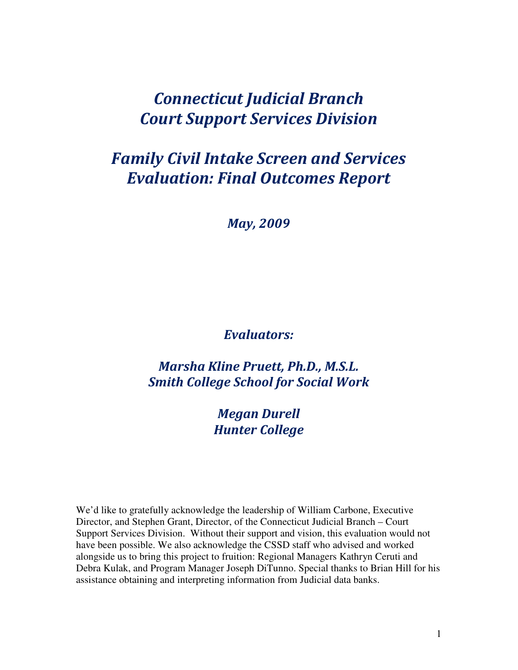# Connecticut Judicial Branch Court Support Services Division

# Family Civil Intake Screen and Services Evaluation: Final Outcomes Report

May, 2009

# Evaluators:

Marsha Kline Pruett, Ph.D., M.S.L. Smith College School for Social Work

> Megan Durell Hunter College

We'd like to gratefully acknowledge the leadership of William Carbone, Executive Director, and Stephen Grant, Director, of the Connecticut Judicial Branch – Court Support Services Division. Without their support and vision, this evaluation would not have been possible. We also acknowledge the CSSD staff who advised and worked alongside us to bring this project to fruition: Regional Managers Kathryn Ceruti and Debra Kulak, and Program Manager Joseph DiTunno. Special thanks to Brian Hill for his assistance obtaining and interpreting information from Judicial data banks.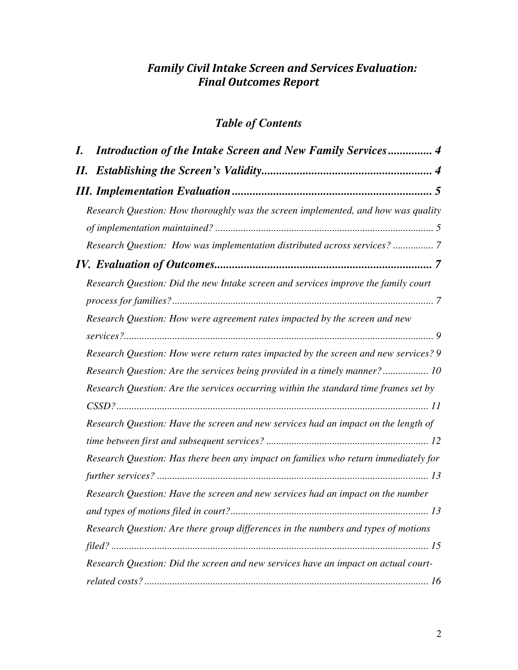# Family Civil Intake Screen and Services Evaluation: Final Outcomes Report

# *Table of Contents*

| I.  | Introduction of the Intake Screen and New Family Services 4                          |
|-----|--------------------------------------------------------------------------------------|
| II. |                                                                                      |
|     |                                                                                      |
|     | Research Question: How thoroughly was the screen implemented, and how was quality    |
|     |                                                                                      |
|     | Research Question: How was implementation distributed across services?  7            |
|     |                                                                                      |
|     | Research Question: Did the new Intake screen and services improve the family court   |
|     |                                                                                      |
|     | Research Question: How were agreement rates impacted by the screen and new           |
|     | Research Question: How were return rates impacted by the screen and new services? 9  |
|     | Research Question: Are the services being provided in a timely manner? 10            |
|     | Research Question: Are the services occurring within the standard time frames set by |
|     |                                                                                      |
|     | Research Question: Have the screen and new services had an impact on the length of   |
|     |                                                                                      |
|     | Research Question: Has there been any impact on families who return immediately for  |
|     |                                                                                      |
|     | Research Question: Have the screen and new services had an impact on the number      |
|     |                                                                                      |
|     | Research Question: Are there group differences in the numbers and types of motions   |
|     |                                                                                      |
|     | Research Question: Did the screen and new services have an impact on actual court-   |
|     |                                                                                      |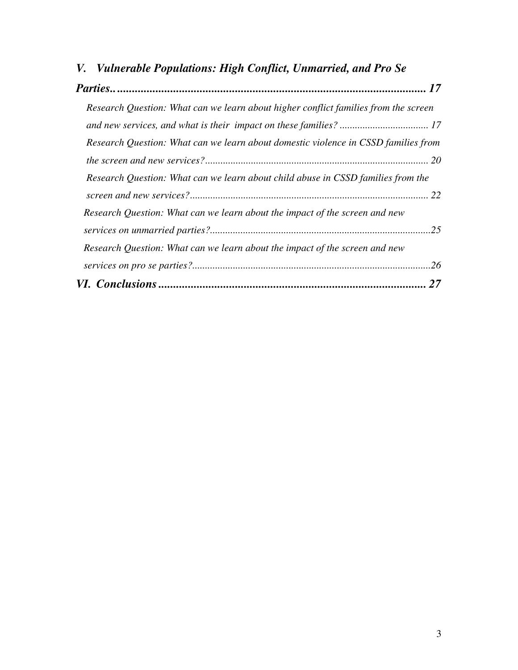| V. Vulnerable Populations: High Conflict, Unmarried, and Pro Se                     |    |  |
|-------------------------------------------------------------------------------------|----|--|
|                                                                                     |    |  |
| Research Question: What can we learn about higher conflict families from the screen |    |  |
|                                                                                     |    |  |
| Research Question: What can we learn about domestic violence in CSSD families from  |    |  |
|                                                                                     |    |  |
| Research Question: What can we learn about child abuse in CSSD families from the    |    |  |
|                                                                                     |    |  |
| Research Question: What can we learn about the impact of the screen and new         |    |  |
|                                                                                     |    |  |
| Research Question: What can we learn about the impact of the screen and new         |    |  |
|                                                                                     |    |  |
|                                                                                     | 27 |  |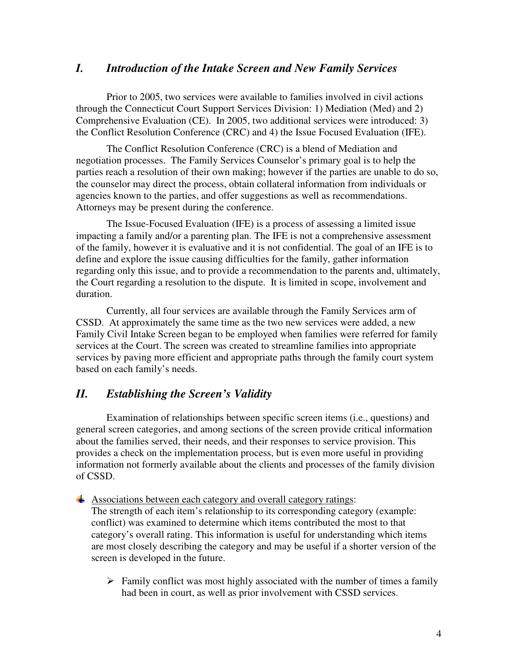# *I. Introduction of the Intake Screen and New Family Services*

Prior to 2005, two services were available to families involved in civil actions through the Connecticut Court Support Services Division: 1) Mediation (Med) and 2) Comprehensive Evaluation (CE). In 2005, two additional services were introduced: 3) the Conflict Resolution Conference (CRC) and 4) the Issue Focused Evaluation (IFE).

The Conflict Resolution Conference (CRC) is a blend of Mediation and negotiation processes. The Family Services Counselor's primary goal is to help the parties reach a resolution of their own making; however if the parties are unable to do so, the counselor may direct the process, obtain collateral information from individuals or agencies known to the parties, and offer suggestions as well as recommendations. Attorneys may be present during the conference.

The Issue-Focused Evaluation (IFE) is a process of assessing a limited issue impacting a family and/or a parenting plan. The IFE is not a comprehensive assessment of the family, however it is evaluative and it is not confidential. The goal of an IFE is to define and explore the issue causing difficulties for the family, gather information regarding only this issue, and to provide a recommendation to the parents and, ultimately, the Court regarding a resolution to the dispute. It is limited in scope, involvement and duration.

Currently, all four services are available through the Family Services arm of CSSD. At approximately the same time as the two new services were added, a new Family Civil Intake Screen began to be employed when families were referred for family services at the Court. The screen was created to streamline families into appropriate services by paving more efficient and appropriate paths through the family court system based on each family's needs.

# *II. Establishing the Screen's Validity*

 Examination of relationships between specific screen items (i.e., questions) and general screen categories, and among sections of the screen provide critical information about the families served, their needs, and their responses to service provision. This provides a check on the implementation process, but is even more useful in providing information not formerly available about the clients and processes of the family division of CSSD.

### $\overline{\text{4}}$  Associations between each category and overall category ratings:

The strength of each item's relationship to its corresponding category (example: conflict) was examined to determine which items contributed the most to that category's overall rating. This information is useful for understanding which items are most closely describing the category and may be useful if a shorter version of the screen is developed in the future.

 $\triangleright$  Family conflict was most highly associated with the number of times a family had been in court, as well as prior involvement with CSSD services.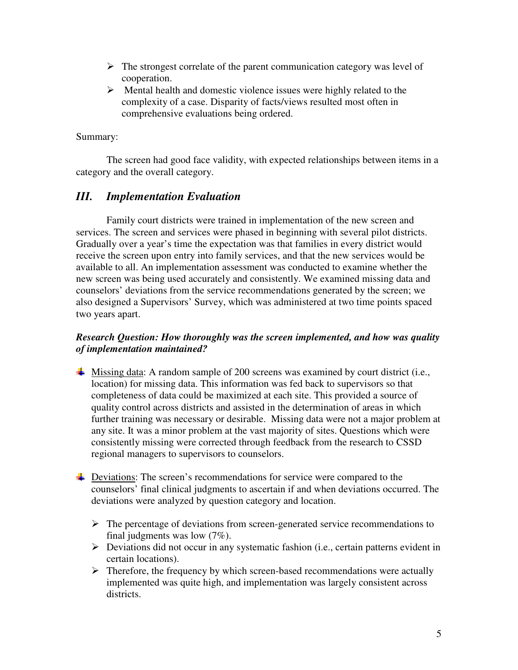- $\triangleright$  The strongest correlate of the parent communication category was level of cooperation.
- $\triangleright$  Mental health and domestic violence issues were highly related to the complexity of a case. Disparity of facts/views resulted most often in comprehensive evaluations being ordered.

# Summary:

 The screen had good face validity, with expected relationships between items in a category and the overall category.

# *III. Implementation Evaluation*

Family court districts were trained in implementation of the new screen and services. The screen and services were phased in beginning with several pilot districts. Gradually over a year's time the expectation was that families in every district would receive the screen upon entry into family services, and that the new services would be available to all. An implementation assessment was conducted to examine whether the new screen was being used accurately and consistently. We examined missing data and counselors' deviations from the service recommendations generated by the screen; we also designed a Supervisors' Survey, which was administered at two time points spaced two years apart.

# *Research Question: How thoroughly was the screen implemented, and how was quality of implementation maintained?*

- $\overline{\text{+}}$  Missing data: A random sample of 200 screens was examined by court district (i.e., location) for missing data. This information was fed back to supervisors so that completeness of data could be maximized at each site. This provided a source of quality control across districts and assisted in the determination of areas in which further training was necessary or desirable. Missing data were not a major problem at any site. It was a minor problem at the vast majority of sites. Questions which were consistently missing were corrected through feedback from the research to CSSD regional managers to supervisors to counselors.
- **EXECUTE:** Deviations: The screen's recommendations for service were compared to the counselors' final clinical judgments to ascertain if and when deviations occurred. The deviations were analyzed by question category and location.
	- $\triangleright$  The percentage of deviations from screen-generated service recommendations to final judgments was low (7%).
	- Deviations did not occur in any systematic fashion (i.e., certain patterns evident in certain locations).
	- $\triangleright$  Therefore, the frequency by which screen-based recommendations were actually implemented was quite high, and implementation was largely consistent across districts.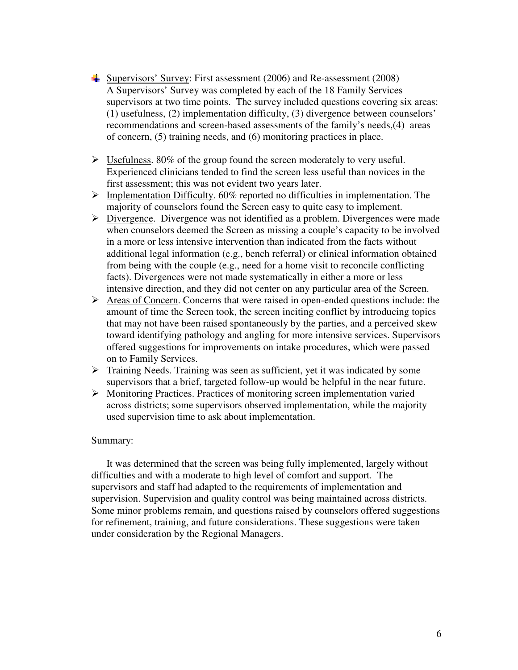- Supervisors' Survey: First assessment  $(2006)$  and Re-assessment  $(2008)$ A Supervisors' Survey was completed by each of the 18 Family Services supervisors at two time points. The survey included questions covering six areas: (1) usefulness, (2) implementation difficulty, (3) divergence between counselors' recommendations and screen-based assessments of the family's needs,(4) areas of concern, (5) training needs, and (6) monitoring practices in place.
- $\triangleright$  Usefulness. 80% of the group found the screen moderately to very useful. Experienced clinicians tended to find the screen less useful than novices in the first assessment; this was not evident two years later.
- $\triangleright$  Implementation Difficulty. 60% reported no difficulties in implementation. The majority of counselors found the Screen easy to quite easy to implement.
- Divergence. Divergence was not identified as a problem. Divergences were made when counselors deemed the Screen as missing a couple's capacity to be involved in a more or less intensive intervention than indicated from the facts without additional legal information (e.g., bench referral) or clinical information obtained from being with the couple (e.g., need for a home visit to reconcile conflicting facts). Divergences were not made systematically in either a more or less intensive direction, and they did not center on any particular area of the Screen.
- Areas of Concern. Concerns that were raised in open-ended questions include: the amount of time the Screen took, the screen inciting conflict by introducing topics that may not have been raised spontaneously by the parties, and a perceived skew toward identifying pathology and angling for more intensive services. Supervisors offered suggestions for improvements on intake procedures, which were passed on to Family Services.
- $\triangleright$  Training Needs. Training was seen as sufficient, yet it was indicated by some supervisors that a brief, targeted follow-up would be helpful in the near future.
- $\triangleright$  Monitoring Practices. Practices of monitoring screen implementation varied across districts; some supervisors observed implementation, while the majority used supervision time to ask about implementation.

### Summary:

It was determined that the screen was being fully implemented, largely without difficulties and with a moderate to high level of comfort and support. The supervisors and staff had adapted to the requirements of implementation and supervision. Supervision and quality control was being maintained across districts. Some minor problems remain, and questions raised by counselors offered suggestions for refinement, training, and future considerations. These suggestions were taken under consideration by the Regional Managers.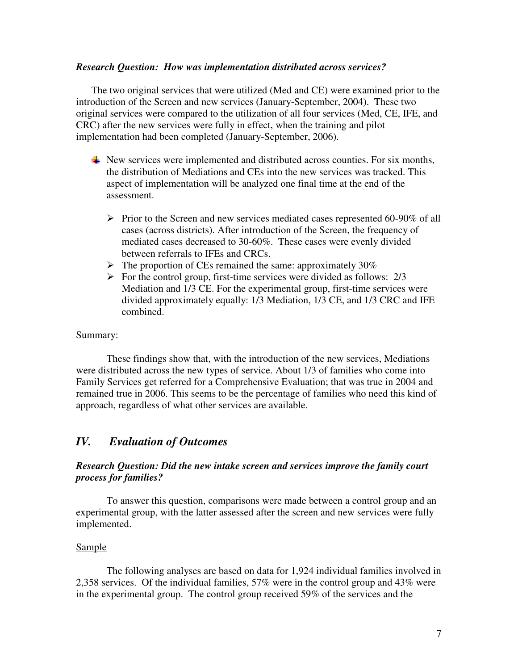### *Research Question: How was implementation distributed across services?*

The two original services that were utilized (Med and CE) were examined prior to the introduction of the Screen and new services (January-September, 2004). These two original services were compared to the utilization of all four services (Med, CE, IFE, and CRC) after the new services were fully in effect, when the training and pilot implementation had been completed (January-September, 2006).

- $\downarrow$  New services were implemented and distributed across counties. For six months, the distribution of Mediations and CEs into the new services was tracked. This aspect of implementation will be analyzed one final time at the end of the assessment.
	- $\triangleright$  Prior to the Screen and new services mediated cases represented 60-90% of all cases (across districts). After introduction of the Screen, the frequency of mediated cases decreased to 30-60%. These cases were evenly divided between referrals to IFEs and CRCs.
	- $\triangleright$  The proportion of CEs remained the same: approximately 30%
	- $\triangleright$  For the control group, first-time services were divided as follows: 2/3 Mediation and 1/3 CE. For the experimental group, first-time services were divided approximately equally: 1/3 Mediation, 1/3 CE, and 1/3 CRC and IFE combined.

### Summary:

These findings show that, with the introduction of the new services, Mediations were distributed across the new types of service. About 1/3 of families who come into Family Services get referred for a Comprehensive Evaluation; that was true in 2004 and remained true in 2006. This seems to be the percentage of families who need this kind of approach, regardless of what other services are available.

# *IV. Evaluation of Outcomes*

# *Research Question: Did the new intake screen and services improve the family court process for families?*

 To answer this question, comparisons were made between a control group and an experimental group, with the latter assessed after the screen and new services were fully implemented.

### Sample

The following analyses are based on data for 1,924 individual families involved in 2,358 services. Of the individual families, 57% were in the control group and 43% were in the experimental group. The control group received 59% of the services and the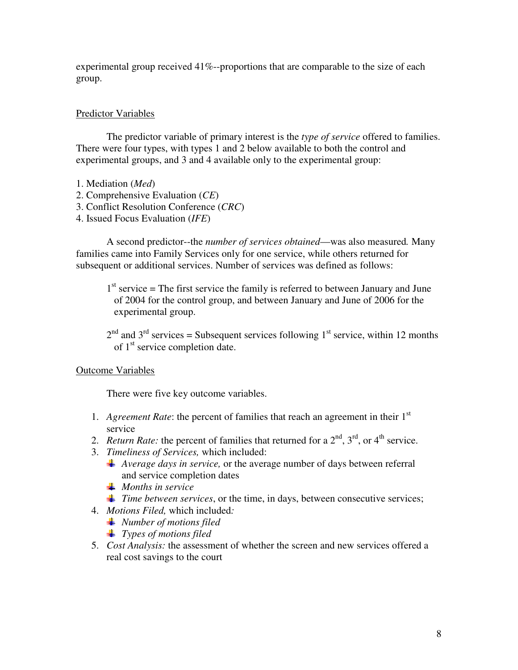experimental group received 41%--proportions that are comparable to the size of each group.

# Predictor Variables

 The predictor variable of primary interest is the *type of service* offered to families. There were four types, with types 1 and 2 below available to both the control and experimental groups, and 3 and 4 available only to the experimental group:

- 1. Mediation (*Med*)
- 2. Comprehensive Evaluation (*CE*)
- 3. Conflict Resolution Conference (*CRC*)
- 4. Issued Focus Evaluation (*IFE*)

 A second predictor--the *number of services obtained*—was also measured*.* Many families came into Family Services only for one service, while others returned for subsequent or additional services. Number of services was defined as follows:

 $1<sup>st</sup>$  service = The first service the family is referred to between January and June of 2004 for the control group, and between January and June of 2006 for the experimental group.

 $2<sup>nd</sup>$  and  $3<sup>rd</sup>$  services = Subsequent services following  $1<sup>st</sup>$  service, within 12 months of 1<sup>st</sup> service completion date.

# Outcome Variables

There were five key outcome variables.

- 1. *Agreement Rate*: the percent of families that reach an agreement in their 1st service
- 2. *Return Rate:* the percent of families that returned for a  $2<sup>nd</sup>$ ,  $3<sup>rd</sup>$ , or  $4<sup>th</sup>$  service.
- 3. *Timeliness of Services,* which included:
	- *Average days in service,* or the average number of days between referral and service completion dates
	- *Months in service*
	- *Time between services*, or the time, in days, between consecutive services;
- 4. *Motions Filed,* which included*:* 
	- *Number of motions filed*
	- *Types of motions filed*
- 5. *Cost Analysis:* the assessment of whether the screen and new services offered a real cost savings to the court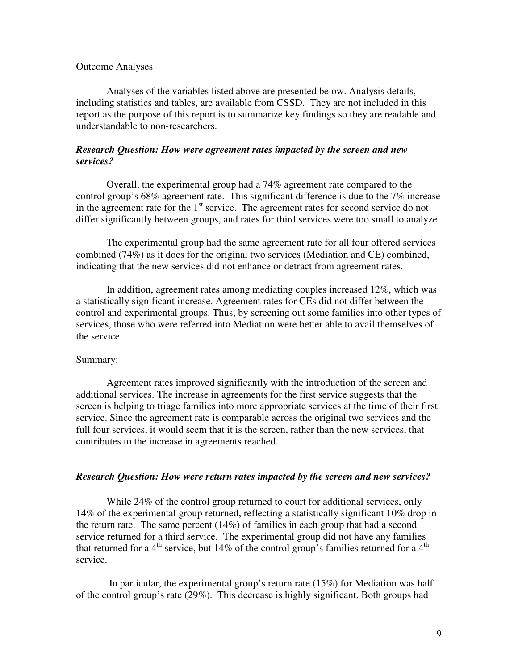### Outcome Analyses

Analyses of the variables listed above are presented below. Analysis details, including statistics and tables, are available from CSSD. They are not included in this report as the purpose of this report is to summarize key findings so they are readable and understandable to non-researchers.

# *Research Question: How were agreement rates impacted by the screen and new services?*

Overall, the experimental group had a 74% agreement rate compared to the control group's 68% agreement rate. This significant difference is due to the 7% increase in the agreement rate for the  $1<sup>st</sup>$  service. The agreement rates for second service do not differ significantly between groups, and rates for third services were too small to analyze.

The experimental group had the same agreement rate for all four offered services combined (74%) as it does for the original two services (Mediation and CE) combined, indicating that the new services did not enhance or detract from agreement rates.

In addition, agreement rates among mediating couples increased 12%, which was a statistically significant increase. Agreement rates for CEs did not differ between the control and experimental groups. Thus, by screening out some families into other types of services, those who were referred into Mediation were better able to avail themselves of the service.

### Summary:

Agreement rates improved significantly with the introduction of the screen and additional services. The increase in agreements for the first service suggests that the screen is helping to triage families into more appropriate services at the time of their first service. Since the agreement rate is comparable across the original two services and the full four services, it would seem that it is the screen, rather than the new services, that contributes to the increase in agreements reached.

### *Research Question: How were return rates impacted by the screen and new services?*

While 24% of the control group returned to court for additional services, only 14% of the experimental group returned, reflecting a statistically significant 10% drop in the return rate. The same percent (14%) of families in each group that had a second service returned for a third service. The experimental group did not have any families that returned for a 4<sup>th</sup> service, but 14% of the control group's families returned for a 4<sup>th</sup> service.

 In particular, the experimental group's return rate (15%) for Mediation was half of the control group's rate (29%). This decrease is highly significant. Both groups had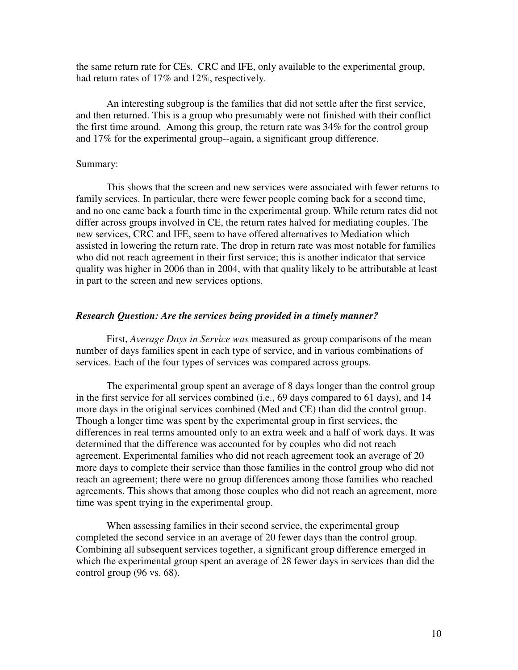the same return rate for CEs. CRC and IFE, only available to the experimental group, had return rates of 17% and 12%, respectively.

An interesting subgroup is the families that did not settle after the first service, and then returned. This is a group who presumably were not finished with their conflict the first time around. Among this group, the return rate was 34% for the control group and 17% for the experimental group--again, a significant group difference.

### Summary:

This shows that the screen and new services were associated with fewer returns to family services. In particular, there were fewer people coming back for a second time, and no one came back a fourth time in the experimental group. While return rates did not differ across groups involved in CE, the return rates halved for mediating couples. The new services, CRC and IFE, seem to have offered alternatives to Mediation which assisted in lowering the return rate. The drop in return rate was most notable for families who did not reach agreement in their first service; this is another indicator that service quality was higher in 2006 than in 2004, with that quality likely to be attributable at least in part to the screen and new services options.

### *Research Question: Are the services being provided in a timely manner?*

First, *Average Days in Service was* measured as group comparisons of the mean number of days families spent in each type of service, and in various combinations of services. Each of the four types of services was compared across groups.

The experimental group spent an average of 8 days longer than the control group in the first service for all services combined (i.e., 69 days compared to 61 days), and 14 more days in the original services combined (Med and CE) than did the control group. Though a longer time was spent by the experimental group in first services, the differences in real terms amounted only to an extra week and a half of work days. It was determined that the difference was accounted for by couples who did not reach agreement. Experimental families who did not reach agreement took an average of 20 more days to complete their service than those families in the control group who did not reach an agreement; there were no group differences among those families who reached agreements. This shows that among those couples who did not reach an agreement, more time was spent trying in the experimental group.

When assessing families in their second service, the experimental group completed the second service in an average of 20 fewer days than the control group. Combining all subsequent services together, a significant group difference emerged in which the experimental group spent an average of 28 fewer days in services than did the control group (96 vs. 68).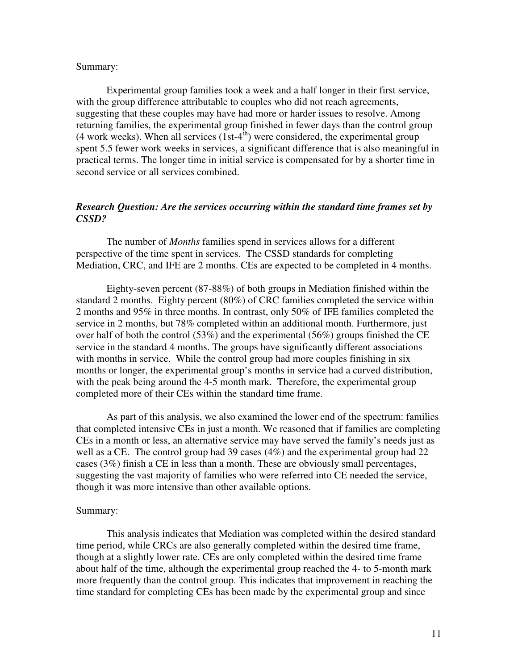### Summary:

Experimental group families took a week and a half longer in their first service, with the group difference attributable to couples who did not reach agreements, suggesting that these couples may have had more or harder issues to resolve. Among returning families, the experimental group finished in fewer days than the control group (4 work weeks). When all services  $(1st-4<sup>th</sup>)$  were considered, the experimental group spent 5.5 fewer work weeks in services, a significant difference that is also meaningful in practical terms. The longer time in initial service is compensated for by a shorter time in second service or all services combined.

# *Research Question: Are the services occurring within the standard time frames set by CSSD?*

 The number of *Months* families spend in services allows for a different perspective of the time spent in services. The CSSD standards for completing Mediation, CRC, and IFE are 2 months. CEs are expected to be completed in 4 months.

Eighty-seven percent (87-88%) of both groups in Mediation finished within the standard 2 months. Eighty percent (80%) of CRC families completed the service within 2 months and 95% in three months. In contrast, only 50% of IFE families completed the service in 2 months, but 78% completed within an additional month. Furthermore, just over half of both the control (53%) and the experimental (56%) groups finished the CE service in the standard 4 months. The groups have significantly different associations with months in service. While the control group had more couples finishing in six months or longer, the experimental group's months in service had a curved distribution, with the peak being around the 4-5 month mark. Therefore, the experimental group completed more of their CEs within the standard time frame.

 As part of this analysis, we also examined the lower end of the spectrum: families that completed intensive CEs in just a month. We reasoned that if families are completing CEs in a month or less, an alternative service may have served the family's needs just as well as a CE. The control group had 39 cases (4%) and the experimental group had 22 cases (3%) finish a CE in less than a month. These are obviously small percentages, suggesting the vast majority of families who were referred into CE needed the service, though it was more intensive than other available options.

#### Summary:

 This analysis indicates that Mediation was completed within the desired standard time period, while CRCs are also generally completed within the desired time frame, though at a slightly lower rate. CEs are only completed within the desired time frame about half of the time, although the experimental group reached the 4- to 5-month mark more frequently than the control group. This indicates that improvement in reaching the time standard for completing CEs has been made by the experimental group and since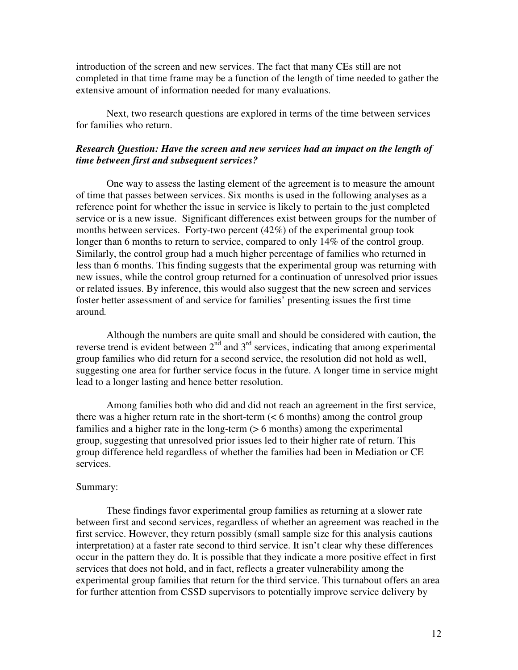introduction of the screen and new services. The fact that many CEs still are not completed in that time frame may be a function of the length of time needed to gather the extensive amount of information needed for many evaluations.

 Next, two research questions are explored in terms of the time between services for families who return.

# *Research Question: Have the screen and new services had an impact on the length of time between first and subsequent services?*

One way to assess the lasting element of the agreement is to measure the amount of time that passes between services. Six months is used in the following analyses as a reference point for whether the issue in service is likely to pertain to the just completed service or is a new issue. Significant differences exist between groups for the number of months between services. Forty-two percent  $(42\%)$  of the experimental group took longer than 6 months to return to service, compared to only 14% of the control group. Similarly, the control group had a much higher percentage of families who returned in less than 6 months. This finding suggests that the experimental group was returning with new issues, while the control group returned for a continuation of unresolved prior issues or related issues. By inference, this would also suggest that the new screen and services foster better assessment of and service for families' presenting issues the first time around*.* 

Although the numbers are quite small and should be considered with caution, **t**he reverse trend is evident between  $2<sup>nd</sup>$  and  $3<sup>rd</sup>$  services, indicating that among experimental group families who did return for a second service, the resolution did not hold as well, suggesting one area for further service focus in the future. A longer time in service might lead to a longer lasting and hence better resolution.

 Among families both who did and did not reach an agreement in the first service, there was a higher return rate in the short-term (< 6 months) among the control group families and a higher rate in the long-term (> 6 months) among the experimental group, suggesting that unresolved prior issues led to their higher rate of return. This group difference held regardless of whether the families had been in Mediation or CE services.

### Summary:

These findings favor experimental group families as returning at a slower rate between first and second services, regardless of whether an agreement was reached in the first service. However, they return possibly (small sample size for this analysis cautions interpretation) at a faster rate second to third service. It isn't clear why these differences occur in the pattern they do. It is possible that they indicate a more positive effect in first services that does not hold, and in fact, reflects a greater vulnerability among the experimental group families that return for the third service. This turnabout offers an area for further attention from CSSD supervisors to potentially improve service delivery by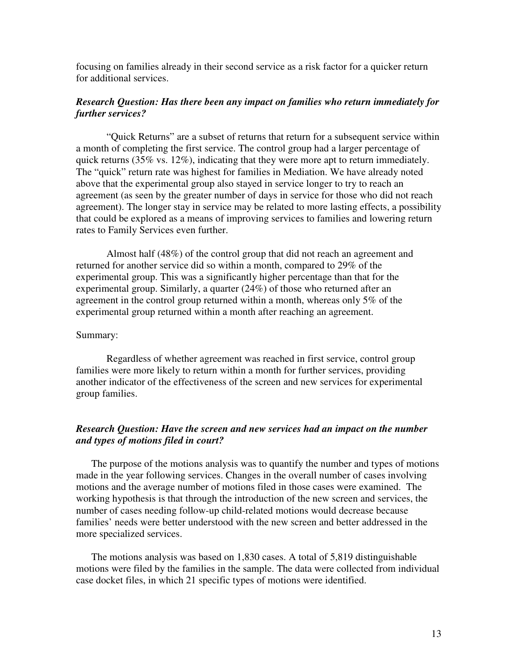focusing on families already in their second service as a risk factor for a quicker return for additional services.

# *Research Question: Has there been any impact on families who return immediately for further services?*

"Quick Returns" are a subset of returns that return for a subsequent service within a month of completing the first service. The control group had a larger percentage of quick returns (35% vs. 12%), indicating that they were more apt to return immediately. The "quick" return rate was highest for families in Mediation. We have already noted above that the experimental group also stayed in service longer to try to reach an agreement (as seen by the greater number of days in service for those who did not reach agreement). The longer stay in service may be related to more lasting effects, a possibility that could be explored as a means of improving services to families and lowering return rates to Family Services even further.

 Almost half (48%) of the control group that did not reach an agreement and returned for another service did so within a month, compared to 29% of the experimental group. This was a significantly higher percentage than that for the experimental group. Similarly, a quarter (24%) of those who returned after an agreement in the control group returned within a month, whereas only 5% of the experimental group returned within a month after reaching an agreement.

### Summary:

Regardless of whether agreement was reached in first service, control group families were more likely to return within a month for further services, providing another indicator of the effectiveness of the screen and new services for experimental group families.

# *Research Question: Have the screen and new services had an impact on the number and types of motions filed in court?*

The purpose of the motions analysis was to quantify the number and types of motions made in the year following services. Changes in the overall number of cases involving motions and the average number of motions filed in those cases were examined. The working hypothesis is that through the introduction of the new screen and services, the number of cases needing follow-up child-related motions would decrease because families' needs were better understood with the new screen and better addressed in the more specialized services.

The motions analysis was based on 1,830 cases. A total of 5,819 distinguishable motions were filed by the families in the sample. The data were collected from individual case docket files, in which 21 specific types of motions were identified.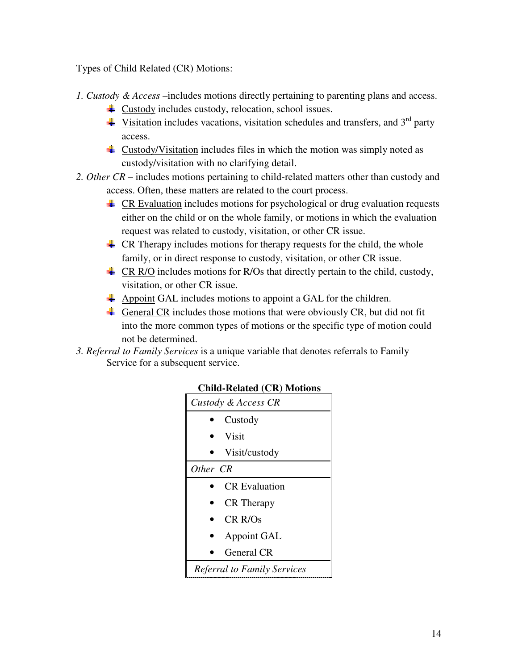Types of Child Related (CR) Motions:

- *1. Custody & Access* –includes motions directly pertaining to parenting plans and access.
	- $\overline{\text{↓}}$  Custody includes custody, relocation, school issues.
	- $\frac{4}{3}$  Visitation includes vacations, visitation schedules and transfers, and 3<sup>rd</sup> party access.
	- **L** Custody/Visitation includes files in which the motion was simply noted as custody/visitation with no clarifying detail.
- *2. Other CR* includes motions pertaining to child-related matters other than custody and access. Often, these matters are related to the court process.
	- $\perp$  CR Evaluation includes motions for psychological or drug evaluation requests either on the child or on the whole family, or motions in which the evaluation request was related to custody, visitation, or other CR issue.
	- $\overline{\text{L}}$  CR Therapy includes motions for therapy requests for the child, the whole family, or in direct response to custody, visitation, or other CR issue.
	- $\downarrow$  CR R/O includes motions for R/Os that directly pertain to the child, custody, visitation, or other CR issue.
	- $\overline{\text{4}}$  Appoint GAL includes motions to appoint a GAL for the children.
	- General CR includes those motions that were obviously CR, but did not fit into the more common types of motions or the specific type of motion could not be determined.
- *3. Referral to Family Services* is a unique variable that denotes referrals to Family Service for a subsequent service.



# **Child-Related (CR) Motions**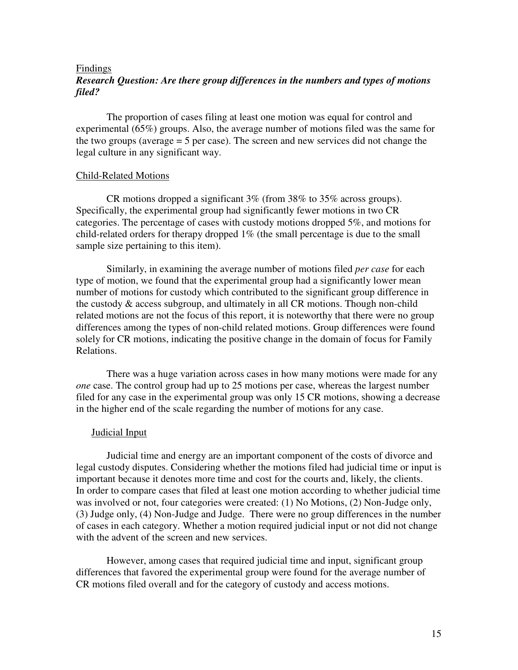# Findings *Research Question: Are there group differences in the numbers and types of motions filed?*

The proportion of cases filing at least one motion was equal for control and experimental (65%) groups. Also, the average number of motions filed was the same for the two groups (average = 5 per case). The screen and new services did not change the legal culture in any significant way.

### Child-Related Motions

 CR motions dropped a significant 3% (from 38% to 35% across groups). Specifically, the experimental group had significantly fewer motions in two CR categories. The percentage of cases with custody motions dropped 5%, and motions for child-related orders for therapy dropped 1% (the small percentage is due to the small sample size pertaining to this item).

Similarly, in examining the average number of motions filed *per case* for each type of motion, we found that the experimental group had a significantly lower mean number of motions for custody which contributed to the significant group difference in the custody & access subgroup, and ultimately in all CR motions. Though non-child related motions are not the focus of this report, it is noteworthy that there were no group differences among the types of non-child related motions. Group differences were found solely for CR motions, indicating the positive change in the domain of focus for Family Relations.

There was a huge variation across cases in how many motions were made for any *one* case. The control group had up to 25 motions per case, whereas the largest number filed for any case in the experimental group was only 15 CR motions, showing a decrease in the higher end of the scale regarding the number of motions for any case.

# Judicial Input

Judicial time and energy are an important component of the costs of divorce and legal custody disputes. Considering whether the motions filed had judicial time or input is important because it denotes more time and cost for the courts and, likely, the clients. In order to compare cases that filed at least one motion according to whether judicial time was involved or not, four categories were created: (1) No Motions, (2) Non-Judge only, (3) Judge only, (4) Non-Judge and Judge. There were no group differences in the number of cases in each category. Whether a motion required judicial input or not did not change with the advent of the screen and new services.

However, among cases that required judicial time and input, significant group differences that favored the experimental group were found for the average number of CR motions filed overall and for the category of custody and access motions.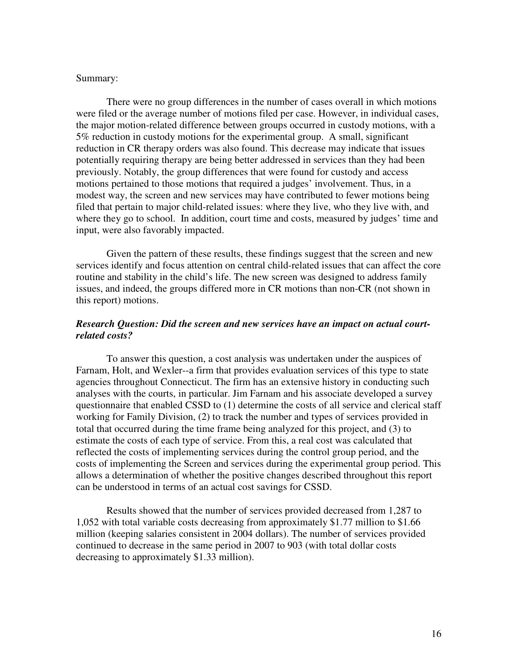### Summary:

There were no group differences in the number of cases overall in which motions were filed or the average number of motions filed per case. However, in individual cases, the major motion-related difference between groups occurred in custody motions, with a 5% reduction in custody motions for the experimental group. A small, significant reduction in CR therapy orders was also found. This decrease may indicate that issues potentially requiring therapy are being better addressed in services than they had been previously. Notably, the group differences that were found for custody and access motions pertained to those motions that required a judges' involvement. Thus, in a modest way, the screen and new services may have contributed to fewer motions being filed that pertain to major child-related issues: where they live, who they live with, and where they go to school. In addition, court time and costs, measured by judges' time and input, were also favorably impacted.

Given the pattern of these results, these findings suggest that the screen and new services identify and focus attention on central child-related issues that can affect the core routine and stability in the child's life. The new screen was designed to address family issues, and indeed, the groups differed more in CR motions than non-CR (not shown in this report) motions.

## *Research Question: Did the screen and new services have an impact on actual courtrelated costs?*

To answer this question, a cost analysis was undertaken under the auspices of Farnam, Holt, and Wexler--a firm that provides evaluation services of this type to state agencies throughout Connecticut. The firm has an extensive history in conducting such analyses with the courts, in particular. Jim Farnam and his associate developed a survey questionnaire that enabled CSSD to (1) determine the costs of all service and clerical staff working for Family Division, (2) to track the number and types of services provided in total that occurred during the time frame being analyzed for this project, and (3) to estimate the costs of each type of service. From this, a real cost was calculated that reflected the costs of implementing services during the control group period, and the costs of implementing the Screen and services during the experimental group period. This allows a determination of whether the positive changes described throughout this report can be understood in terms of an actual cost savings for CSSD.

Results showed that the number of services provided decreased from 1,287 to 1,052 with total variable costs decreasing from approximately \$1.77 million to \$1.66 million (keeping salaries consistent in 2004 dollars). The number of services provided continued to decrease in the same period in 2007 to 903 (with total dollar costs decreasing to approximately \$1.33 million).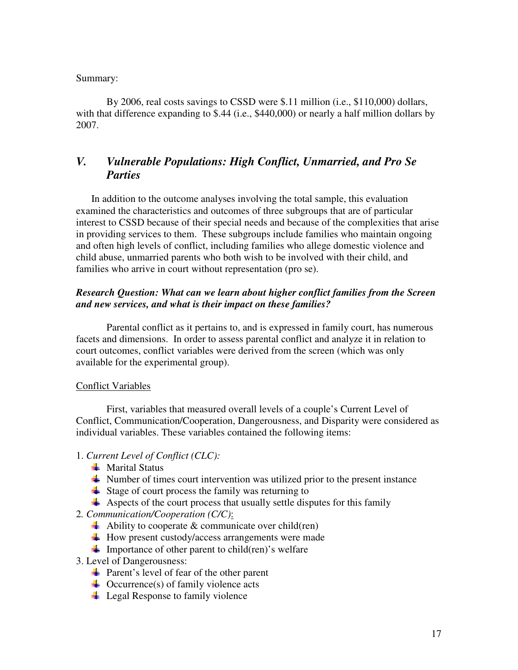# Summary:

By 2006, real costs savings to CSSD were \$.11 million (i.e., \$110,000) dollars, with that difference expanding to \$.44 (i.e., \$440,000) or nearly a half million dollars by 2007.

# *V. Vulnerable Populations: High Conflict, Unmarried, and Pro Se Parties*

In addition to the outcome analyses involving the total sample, this evaluation examined the characteristics and outcomes of three subgroups that are of particular interest to CSSD because of their special needs and because of the complexities that arise in providing services to them. These subgroups include families who maintain ongoing and often high levels of conflict, including families who allege domestic violence and child abuse, unmarried parents who both wish to be involved with their child, and families who arrive in court without representation (pro se).

# *Research Question: What can we learn about higher conflict families from the Screen and new services, and what is their impact on these families?*

Parental conflict as it pertains to, and is expressed in family court, has numerous facets and dimensions. In order to assess parental conflict and analyze it in relation to court outcomes, conflict variables were derived from the screen (which was only available for the experimental group).

### Conflict Variables

First, variables that measured overall levels of a couple's Current Level of Conflict, Communication/Cooperation, Dangerousness, and Disparity were considered as individual variables. These variables contained the following items:

# 1. *Current Level of Conflict (CLC):*

- $\blacksquare$  Marital Status
- $\overline{\mathbf{A}}$  Number of times court intervention was utilized prior to the present instance
- $\frac{1}{2}$  Stage of court process the family was returning to
- $\overline{\text{4}}$  Aspects of the court process that usually settle disputes for this family
- 2*. Communication/Cooperation (C/C)*:
	- $\triangleleft$  Ability to cooperate & communicate over child(ren)
	- $\pm$  How present custody/access arrangements were made
	- Importance of other parent to child(ren)'s welfare
- 3. Level of Dangerousness:
	- Parent's level of fear of the other parent
	- $\downarrow$  Occurrence(s) of family violence acts
	- $\blacksquare$  Legal Response to family violence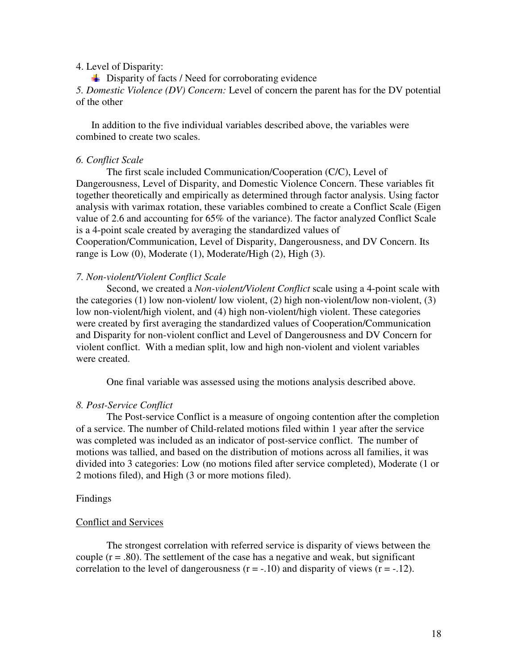### 4. Level of Disparity:

 $\overline{\phantom{a}}$  Disparity of facts / Need for corroborating evidence

*5. Domestic Violence (DV) Concern:* Level of concern the parent has for the DV potential of the other

In addition to the five individual variables described above, the variables were combined to create two scales.

### *6. Conflict Scale*

The first scale included Communication/Cooperation (C/C), Level of Dangerousness, Level of Disparity, and Domestic Violence Concern. These variables fit together theoretically and empirically as determined through factor analysis. Using factor analysis with varimax rotation, these variables combined to create a Conflict Scale (Eigen value of 2.6 and accounting for 65% of the variance). The factor analyzed Conflict Scale is a 4-point scale created by averaging the standardized values of Cooperation/Communication, Level of Disparity, Dangerousness, and DV Concern. Its range is Low  $(0)$ , Moderate  $(1)$ , Moderate/High  $(2)$ , High  $(3)$ .

### *7. Non-violent/Violent Conflict Scale*

Second, we created a *Non-violent/Violent Conflict* scale using a 4-point scale with the categories (1) low non-violent/ low violent, (2) high non-violent/low non-violent, (3) low non-violent/high violent, and (4) high non-violent/high violent. These categories were created by first averaging the standardized values of Cooperation/Communication and Disparity for non-violent conflict and Level of Dangerousness and DV Concern for violent conflict. With a median split, low and high non-violent and violent variables were created.

One final variable was assessed using the motions analysis described above.

### *8. Post-Service Conflict*

The Post-service Conflict is a measure of ongoing contention after the completion of a service. The number of Child-related motions filed within 1 year after the service was completed was included as an indicator of post-service conflict. The number of motions was tallied, and based on the distribution of motions across all families, it was divided into 3 categories: Low (no motions filed after service completed), Moderate (1 or 2 motions filed), and High (3 or more motions filed).

### Findings

#### Conflict and Services

The strongest correlation with referred service is disparity of views between the couple  $(r = .80)$ . The settlement of the case has a negative and weak, but significant correlation to the level of dangerousness  $(r = -.10)$  and disparity of views  $(r = -.12)$ .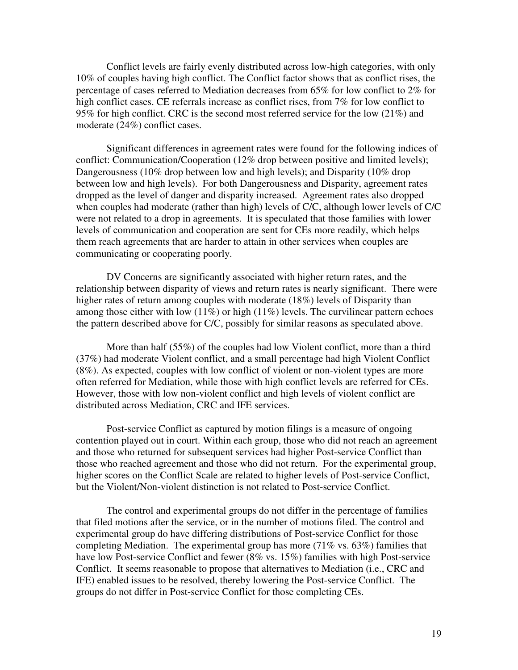Conflict levels are fairly evenly distributed across low-high categories, with only 10% of couples having high conflict. The Conflict factor shows that as conflict rises, the percentage of cases referred to Mediation decreases from 65% for low conflict to 2% for high conflict cases. CE referrals increase as conflict rises, from 7% for low conflict to 95% for high conflict. CRC is the second most referred service for the low (21%) and moderate (24%) conflict cases.

Significant differences in agreement rates were found for the following indices of conflict: Communication/Cooperation (12% drop between positive and limited levels); Dangerousness (10% drop between low and high levels); and Disparity (10% drop between low and high levels). For both Dangerousness and Disparity, agreement rates dropped as the level of danger and disparity increased. Agreement rates also dropped when couples had moderate (rather than high) levels of C/C, although lower levels of C/C were not related to a drop in agreements. It is speculated that those families with lower levels of communication and cooperation are sent for CEs more readily, which helps them reach agreements that are harder to attain in other services when couples are communicating or cooperating poorly.

DV Concerns are significantly associated with higher return rates, and the relationship between disparity of views and return rates is nearly significant. There were higher rates of return among couples with moderate (18%) levels of Disparity than among those either with low  $(11\%)$  or high  $(11\%)$  levels. The curvilinear pattern echoes the pattern described above for C/C, possibly for similar reasons as speculated above.

More than half (55%) of the couples had low Violent conflict, more than a third (37%) had moderate Violent conflict, and a small percentage had high Violent Conflict (8%). As expected, couples with low conflict of violent or non-violent types are more often referred for Mediation, while those with high conflict levels are referred for CEs. However, those with low non-violent conflict and high levels of violent conflict are distributed across Mediation, CRC and IFE services.

 Post-service Conflict as captured by motion filings is a measure of ongoing contention played out in court. Within each group, those who did not reach an agreement and those who returned for subsequent services had higher Post-service Conflict than those who reached agreement and those who did not return. For the experimental group, higher scores on the Conflict Scale are related to higher levels of Post-service Conflict, but the Violent/Non-violent distinction is not related to Post-service Conflict.

 The control and experimental groups do not differ in the percentage of families that filed motions after the service, or in the number of motions filed. The control and experimental group do have differing distributions of Post-service Conflict for those completing Mediation. The experimental group has more (71% vs. 63%) families that have low Post-service Conflict and fewer (8% vs. 15%) families with high Post-service Conflict. It seems reasonable to propose that alternatives to Mediation (i.e., CRC and IFE) enabled issues to be resolved, thereby lowering the Post-service Conflict. The groups do not differ in Post-service Conflict for those completing CEs.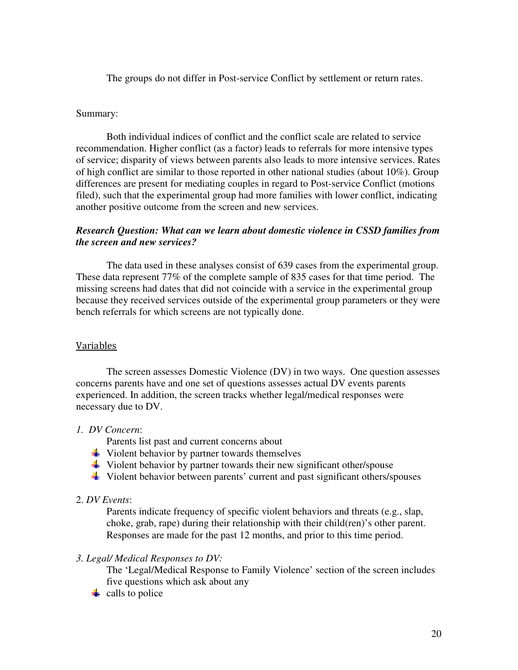The groups do not differ in Post-service Conflict by settlement or return rates.

### Summary:

 Both individual indices of conflict and the conflict scale are related to service recommendation. Higher conflict (as a factor) leads to referrals for more intensive types of service; disparity of views between parents also leads to more intensive services. Rates of high conflict are similar to those reported in other national studies (about 10%). Group differences are present for mediating couples in regard to Post-service Conflict (motions filed), such that the experimental group had more families with lower conflict, indicating another positive outcome from the screen and new services.

# *Research Question: What can we learn about domestic violence in CSSD families from the screen and new services?*

 The data used in these analyses consist of 639 cases from the experimental group. These data represent 77% of the complete sample of 835 cases for that time period. The missing screens had dates that did not coincide with a service in the experimental group because they received services outside of the experimental group parameters or they were bench referrals for which screens are not typically done.

# Variables

The screen assesses Domestic Violence (DV) in two ways. One question assesses concerns parents have and one set of questions assesses actual DV events parents experienced. In addition, the screen tracks whether legal/medical responses were necessary due to DV.

# *1. DV Concern*:

Parents list past and current concerns about

- $\frac{1}{2}$  Violent behavior by partner towards themselves
- $\ddot{\bullet}$  Violent behavior by partner towards their new significant other/spouse
- Violent behavior between parents' current and past significant others/spouses

## 2. *DV Events*:

 Parents indicate frequency of specific violent behaviors and threats (e.g., slap, choke, grab, rape) during their relationship with their child(ren)'s other parent. Responses are made for the past 12 months, and prior to this time period.

### *3. Legal/ Medical Responses to DV:*

 The 'Legal/Medical Response to Family Violence' section of the screen includes five questions which ask about any

 $\frac{1}{\sqrt{2}}$  calls to police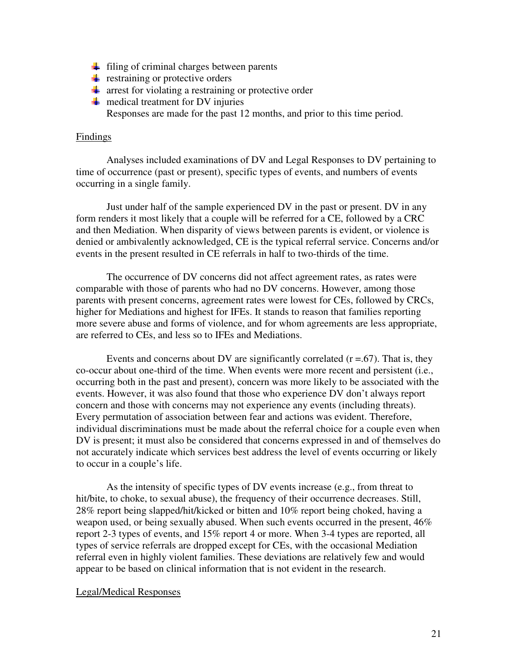- $\frac{1}{\sqrt{2}}$  filing of criminal charges between parents
- $\ddot{\bullet}$  restraining or protective orders
- $\frac{1}{\sqrt{2}}$  arrest for violating a restraining or protective order
- $\blacksquare$  medical treatment for DV injuries Responses are made for the past 12 months, and prior to this time period.

## Findings

Analyses included examinations of DV and Legal Responses to DV pertaining to time of occurrence (past or present), specific types of events, and numbers of events occurring in a single family.

Just under half of the sample experienced DV in the past or present. DV in any form renders it most likely that a couple will be referred for a CE, followed by a CRC and then Mediation. When disparity of views between parents is evident, or violence is denied or ambivalently acknowledged, CE is the typical referral service. Concerns and/or events in the present resulted in CE referrals in half to two-thirds of the time.

The occurrence of DV concerns did not affect agreement rates, as rates were comparable with those of parents who had no DV concerns. However, among those parents with present concerns, agreement rates were lowest for CEs, followed by CRCs, higher for Mediations and highest for IFEs. It stands to reason that families reporting more severe abuse and forms of violence, and for whom agreements are less appropriate, are referred to CEs, and less so to IFEs and Mediations.

Events and concerns about DV are significantly correlated  $(r = .67)$ . That is, they co-occur about one-third of the time. When events were more recent and persistent (i.e., occurring both in the past and present), concern was more likely to be associated with the events. However, it was also found that those who experience DV don't always report concern and those with concerns may not experience any events (including threats). Every permutation of association between fear and actions was evident. Therefore, individual discriminations must be made about the referral choice for a couple even when DV is present; it must also be considered that concerns expressed in and of themselves do not accurately indicate which services best address the level of events occurring or likely to occur in a couple's life.

As the intensity of specific types of DV events increase (e.g., from threat to hit/bite, to choke, to sexual abuse), the frequency of their occurrence decreases. Still, 28% report being slapped/hit/kicked or bitten and 10% report being choked, having a weapon used, or being sexually abused. When such events occurred in the present, 46% report 2-3 types of events, and 15% report 4 or more. When 3-4 types are reported, all types of service referrals are dropped except for CEs, with the occasional Mediation referral even in highly violent families. These deviations are relatively few and would appear to be based on clinical information that is not evident in the research.

### Legal/Medical Responses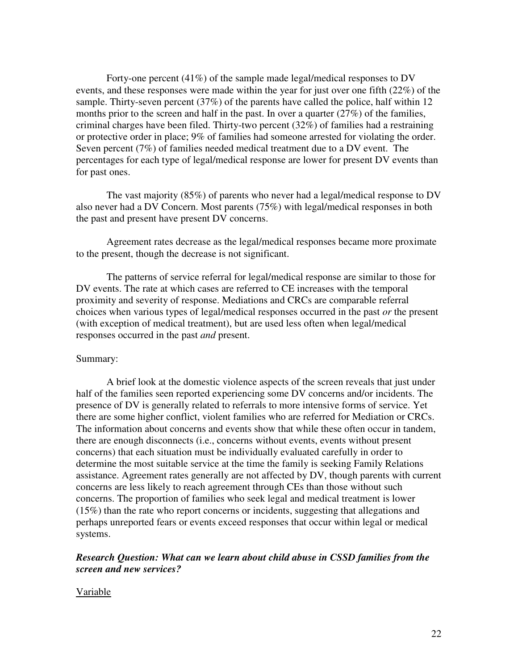Forty-one percent (41%) of the sample made legal/medical responses to DV events, and these responses were made within the year for just over one fifth (22%) of the sample. Thirty-seven percent (37%) of the parents have called the police, half within 12 months prior to the screen and half in the past. In over a quarter  $(27%)$  of the families, criminal charges have been filed. Thirty-two percent (32%) of families had a restraining or protective order in place; 9% of families had someone arrested for violating the order. Seven percent (7%) of families needed medical treatment due to a DV event. The percentages for each type of legal/medical response are lower for present DV events than for past ones.

The vast majority (85%) of parents who never had a legal/medical response to DV also never had a DV Concern. Most parents (75%) with legal/medical responses in both the past and present have present DV concerns.

Agreement rates decrease as the legal/medical responses became more proximate to the present, though the decrease is not significant.

The patterns of service referral for legal/medical response are similar to those for DV events. The rate at which cases are referred to CE increases with the temporal proximity and severity of response. Mediations and CRCs are comparable referral choices when various types of legal/medical responses occurred in the past *or* the present (with exception of medical treatment), but are used less often when legal/medical responses occurred in the past *and* present.

## Summary:

 A brief look at the domestic violence aspects of the screen reveals that just under half of the families seen reported experiencing some DV concerns and/or incidents. The presence of DV is generally related to referrals to more intensive forms of service. Yet there are some higher conflict, violent families who are referred for Mediation or CRCs. The information about concerns and events show that while these often occur in tandem, there are enough disconnects (i.e., concerns without events, events without present concerns) that each situation must be individually evaluated carefully in order to determine the most suitable service at the time the family is seeking Family Relations assistance. Agreement rates generally are not affected by DV, though parents with current concerns are less likely to reach agreement through CEs than those without such concerns. The proportion of families who seek legal and medical treatment is lower (15%) than the rate who report concerns or incidents, suggesting that allegations and perhaps unreported fears or events exceed responses that occur within legal or medical systems.

# *Research Question: What can we learn about child abuse in CSSD families from the screen and new services?*

### Variable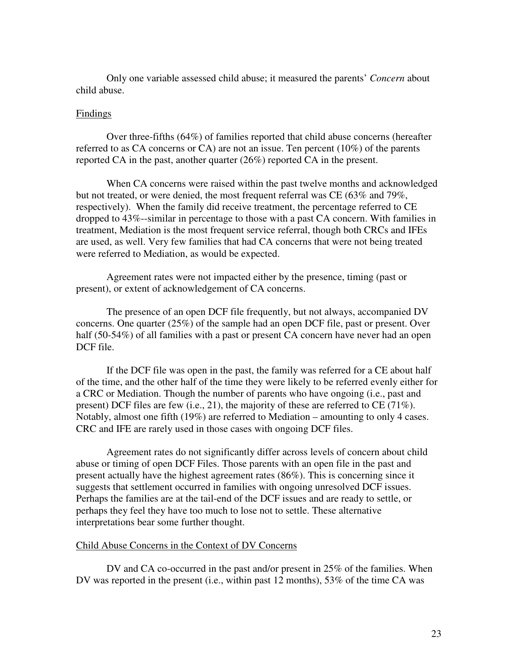Only one variable assessed child abuse; it measured the parents' *Concern* about child abuse.

### Findings

Over three-fifths (64%) of families reported that child abuse concerns (hereafter referred to as CA concerns or CA) are not an issue. Ten percent (10%) of the parents reported CA in the past, another quarter (26%) reported CA in the present.

When CA concerns were raised within the past twelve months and acknowledged but not treated, or were denied, the most frequent referral was CE (63% and 79%, respectively). When the family did receive treatment, the percentage referred to CE dropped to 43%--similar in percentage to those with a past CA concern. With families in treatment, Mediation is the most frequent service referral, though both CRCs and IFEs are used, as well. Very few families that had CA concerns that were not being treated were referred to Mediation, as would be expected.

Agreement rates were not impacted either by the presence, timing (past or present), or extent of acknowledgement of CA concerns.

The presence of an open DCF file frequently, but not always, accompanied DV concerns. One quarter (25%) of the sample had an open DCF file, past or present. Over half (50-54%) of all families with a past or present CA concern have never had an open DCF file.

If the DCF file was open in the past, the family was referred for a CE about half of the time, and the other half of the time they were likely to be referred evenly either for a CRC or Mediation. Though the number of parents who have ongoing (i.e., past and present) DCF files are few (i.e., 21), the majority of these are referred to CE (71%). Notably, almost one fifth (19%) are referred to Mediation – amounting to only 4 cases. CRC and IFE are rarely used in those cases with ongoing DCF files.

Agreement rates do not significantly differ across levels of concern about child abuse or timing of open DCF Files. Those parents with an open file in the past and present actually have the highest agreement rates (86%). This is concerning since it suggests that settlement occurred in families with ongoing unresolved DCF issues. Perhaps the families are at the tail-end of the DCF issues and are ready to settle, or perhaps they feel they have too much to lose not to settle. These alternative interpretations bear some further thought.

### Child Abuse Concerns in the Context of DV Concerns

DV and CA co-occurred in the past and/or present in 25% of the families. When DV was reported in the present (i.e., within past 12 months), 53% of the time CA was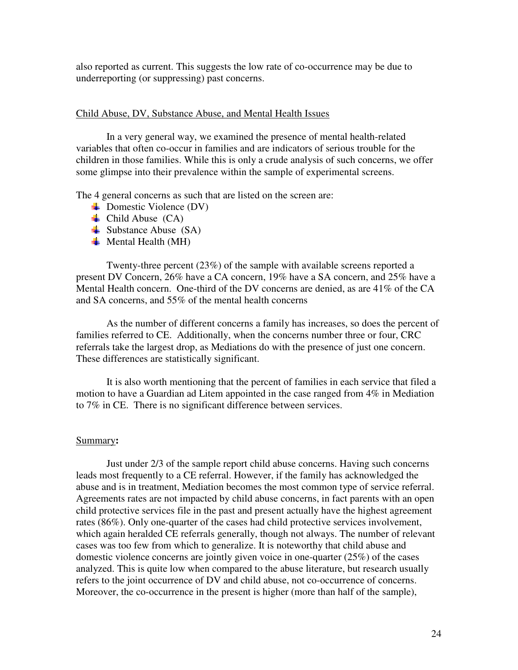also reported as current. This suggests the low rate of co-occurrence may be due to underreporting (or suppressing) past concerns.

### Child Abuse, DV, Substance Abuse, and Mental Health Issues

 In a very general way, we examined the presence of mental health-related variables that often co-occur in families and are indicators of serious trouble for the children in those families. While this is only a crude analysis of such concerns, we offer some glimpse into their prevalence within the sample of experimental screens.

The 4 general concerns as such that are listed on the screen are:

- $\blacktriangleright$  Domestic Violence (DV)
- $\triangleq$  Child Abuse (CA)
- $\triangleq$  Substance Abuse (SA)
- $\overline{\text{H}}$  Mental Health (MH)

Twenty-three percent (23%) of the sample with available screens reported a present DV Concern, 26% have a CA concern, 19% have a SA concern, and 25% have a Mental Health concern. One-third of the DV concerns are denied, as are 41% of the CA and SA concerns, and 55% of the mental health concerns

As the number of different concerns a family has increases, so does the percent of families referred to CE. Additionally, when the concerns number three or four, CRC referrals take the largest drop, as Mediations do with the presence of just one concern. These differences are statistically significant.

It is also worth mentioning that the percent of families in each service that filed a motion to have a Guardian ad Litem appointed in the case ranged from 4% in Mediation to 7% in CE. There is no significant difference between services.

#### Summary**:**

Just under 2/3 of the sample report child abuse concerns. Having such concerns leads most frequently to a CE referral. However, if the family has acknowledged the abuse and is in treatment, Mediation becomes the most common type of service referral. Agreements rates are not impacted by child abuse concerns, in fact parents with an open child protective services file in the past and present actually have the highest agreement rates (86%). Only one-quarter of the cases had child protective services involvement, which again heralded CE referrals generally, though not always. The number of relevant cases was too few from which to generalize. It is noteworthy that child abuse and domestic violence concerns are jointly given voice in one-quarter (25%) of the cases analyzed. This is quite low when compared to the abuse literature, but research usually refers to the joint occurrence of DV and child abuse, not co-occurrence of concerns. Moreover, the co-occurrence in the present is higher (more than half of the sample),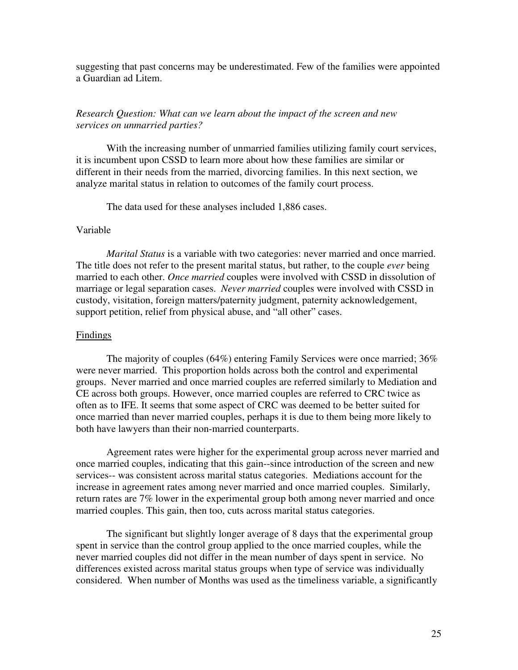suggesting that past concerns may be underestimated. Few of the families were appointed a Guardian ad Litem.

# *Research Question: What can we learn about the impact of the screen and new services on unmarried parties?*

With the increasing number of unmarried families utilizing family court services, it is incumbent upon CSSD to learn more about how these families are similar or different in their needs from the married, divorcing families. In this next section, we analyze marital status in relation to outcomes of the family court process.

The data used for these analyses included 1,886 cases.

## Variable

*Marital Status* is a variable with two categories: never married and once married. The title does not refer to the present marital status, but rather, to the couple *ever* being married to each other. *Once married* couples were involved with CSSD in dissolution of marriage or legal separation cases. *Never married* couples were involved with CSSD in custody, visitation, foreign matters/paternity judgment, paternity acknowledgement, support petition, relief from physical abuse, and "all other" cases.

# **Findings**

The majority of couples (64%) entering Family Services were once married; 36% were never married. This proportion holds across both the control and experimental groups. Never married and once married couples are referred similarly to Mediation and CE across both groups. However, once married couples are referred to CRC twice as often as to IFE. It seems that some aspect of CRC was deemed to be better suited for once married than never married couples, perhaps it is due to them being more likely to both have lawyers than their non-married counterparts.

 Agreement rates were higher for the experimental group across never married and once married couples, indicating that this gain--since introduction of the screen and new services-- was consistent across marital status categories. Mediations account for the increase in agreement rates among never married and once married couples. Similarly, return rates are 7% lower in the experimental group both among never married and once married couples. This gain, then too, cuts across marital status categories.

The significant but slightly longer average of 8 days that the experimental group spent in service than the control group applied to the once married couples, while the never married couples did not differ in the mean number of days spent in service. No differences existed across marital status groups when type of service was individually considered. When number of Months was used as the timeliness variable, a significantly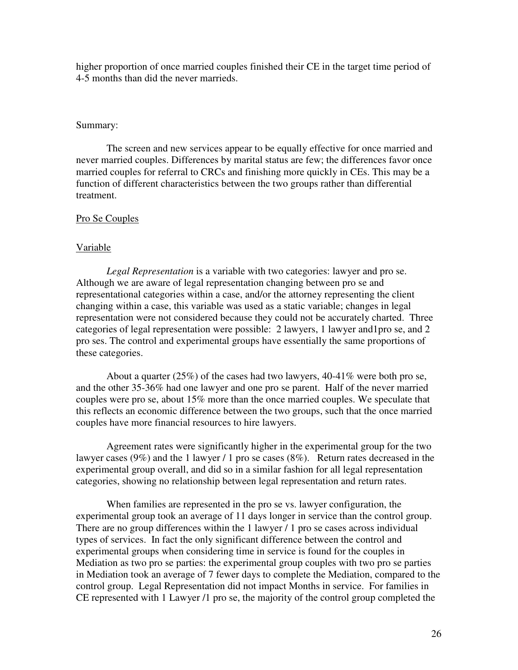higher proportion of once married couples finished their CE in the target time period of 4-5 months than did the never marrieds.

### Summary:

The screen and new services appear to be equally effective for once married and never married couples. Differences by marital status are few; the differences favor once married couples for referral to CRCs and finishing more quickly in CEs. This may be a function of different characteristics between the two groups rather than differential treatment.

# Pro Se Couples

## Variable

*Legal Representation* is a variable with two categories: lawyer and pro se. Although we are aware of legal representation changing between pro se and representational categories within a case, and/or the attorney representing the client changing within a case, this variable was used as a static variable; changes in legal representation were not considered because they could not be accurately charted. Three categories of legal representation were possible: 2 lawyers, 1 lawyer and1pro se, and 2 pro ses. The control and experimental groups have essentially the same proportions of these categories.

About a quarter (25%) of the cases had two lawyers, 40-41% were both pro se, and the other 35-36% had one lawyer and one pro se parent. Half of the never married couples were pro se, about 15% more than the once married couples. We speculate that this reflects an economic difference between the two groups, such that the once married couples have more financial resources to hire lawyers.

Agreement rates were significantly higher in the experimental group for the two lawyer cases (9%) and the 1 lawyer / 1 pro se cases (8%). Return rates decreased in the experimental group overall, and did so in a similar fashion for all legal representation categories, showing no relationship between legal representation and return rates.

 When families are represented in the pro se vs. lawyer configuration, the experimental group took an average of 11 days longer in service than the control group. There are no group differences within the 1 lawyer / 1 pro se cases across individual types of services. In fact the only significant difference between the control and experimental groups when considering time in service is found for the couples in Mediation as two pro se parties: the experimental group couples with two pro se parties in Mediation took an average of 7 fewer days to complete the Mediation, compared to the control group. Legal Representation did not impact Months in service. For families in CE represented with 1 Lawyer /1 pro se, the majority of the control group completed the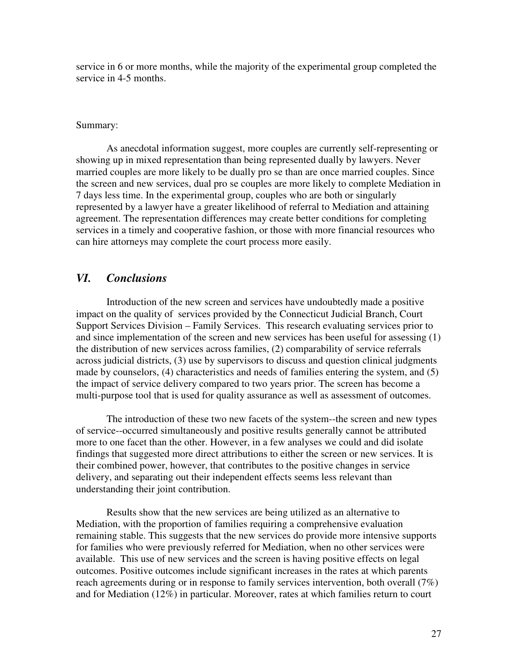service in 6 or more months, while the majority of the experimental group completed the service in 4-5 months.

### Summary:

 As anecdotal information suggest, more couples are currently self-representing or showing up in mixed representation than being represented dually by lawyers. Never married couples are more likely to be dually pro se than are once married couples. Since the screen and new services, dual pro se couples are more likely to complete Mediation in 7 days less time. In the experimental group, couples who are both or singularly represented by a lawyer have a greater likelihood of referral to Mediation and attaining agreement. The representation differences may create better conditions for completing services in a timely and cooperative fashion, or those with more financial resources who can hire attorneys may complete the court process more easily.

# *VI. Conclusions*

 Introduction of the new screen and services have undoubtedly made a positive impact on the quality of services provided by the Connecticut Judicial Branch, Court Support Services Division – Family Services. This research evaluating services prior to and since implementation of the screen and new services has been useful for assessing (1) the distribution of new services across families, (2) comparability of service referrals across judicial districts, (3) use by supervisors to discuss and question clinical judgments made by counselors, (4) characteristics and needs of families entering the system, and (5) the impact of service delivery compared to two years prior. The screen has become a multi-purpose tool that is used for quality assurance as well as assessment of outcomes.

The introduction of these two new facets of the system--the screen and new types of service--occurred simultaneously and positive results generally cannot be attributed more to one facet than the other. However, in a few analyses we could and did isolate findings that suggested more direct attributions to either the screen or new services. It is their combined power, however, that contributes to the positive changes in service delivery, and separating out their independent effects seems less relevant than understanding their joint contribution.

Results show that the new services are being utilized as an alternative to Mediation, with the proportion of families requiring a comprehensive evaluation remaining stable. This suggests that the new services do provide more intensive supports for families who were previously referred for Mediation, when no other services were available. This use of new services and the screen is having positive effects on legal outcomes. Positive outcomes include significant increases in the rates at which parents reach agreements during or in response to family services intervention, both overall (7%) and for Mediation (12%) in particular. Moreover, rates at which families return to court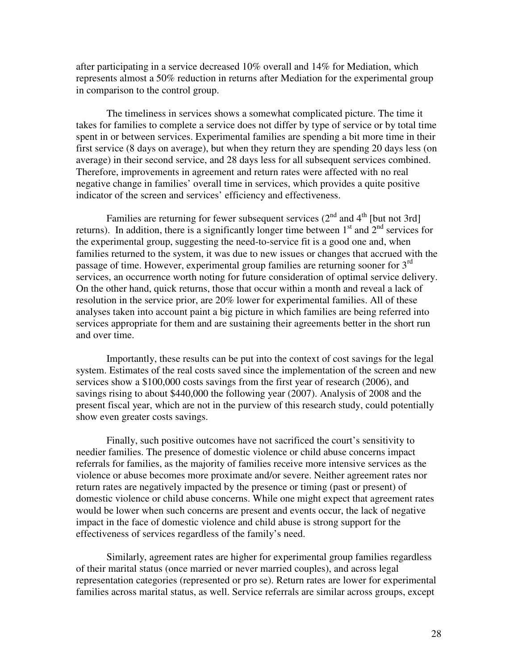after participating in a service decreased 10% overall and 14% for Mediation, which represents almost a 50% reduction in returns after Mediation for the experimental group in comparison to the control group.

The timeliness in services shows a somewhat complicated picture. The time it takes for families to complete a service does not differ by type of service or by total time spent in or between services. Experimental families are spending a bit more time in their first service (8 days on average), but when they return they are spending 20 days less (on average) in their second service, and 28 days less for all subsequent services combined. Therefore, improvements in agreement and return rates were affected with no real negative change in families' overall time in services, which provides a quite positive indicator of the screen and services' efficiency and effectiveness.

Families are returning for fewer subsequent services  $(2^{nd}$  and  $4^{th}$  [but not 3rd] returns). In addition, there is a significantly longer time between  $1<sup>st</sup>$  and  $2<sup>nd</sup>$  services for the experimental group, suggesting the need-to-service fit is a good one and, when families returned to the system, it was due to new issues or changes that accrued with the passage of time. However, experimental group families are returning sooner for  $3<sup>rd</sup>$ services, an occurrence worth noting for future consideration of optimal service delivery. On the other hand, quick returns, those that occur within a month and reveal a lack of resolution in the service prior, are 20% lower for experimental families. All of these analyses taken into account paint a big picture in which families are being referred into services appropriate for them and are sustaining their agreements better in the short run and over time.

Importantly, these results can be put into the context of cost savings for the legal system. Estimates of the real costs saved since the implementation of the screen and new services show a \$100,000 costs savings from the first year of research (2006), and savings rising to about \$440,000 the following year (2007). Analysis of 2008 and the present fiscal year, which are not in the purview of this research study, could potentially show even greater costs savings.

Finally, such positive outcomes have not sacrificed the court's sensitivity to needier families. The presence of domestic violence or child abuse concerns impact referrals for families, as the majority of families receive more intensive services as the violence or abuse becomes more proximate and/or severe. Neither agreement rates nor return rates are negatively impacted by the presence or timing (past or present) of domestic violence or child abuse concerns. While one might expect that agreement rates would be lower when such concerns are present and events occur, the lack of negative impact in the face of domestic violence and child abuse is strong support for the effectiveness of services regardless of the family's need.

 Similarly, agreement rates are higher for experimental group families regardless of their marital status (once married or never married couples), and across legal representation categories (represented or pro se). Return rates are lower for experimental families across marital status, as well. Service referrals are similar across groups, except